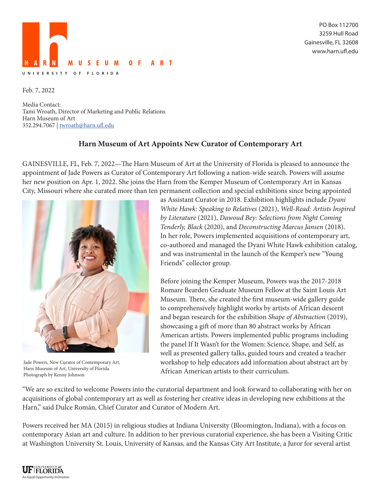

PO Box 112700 3259 Hull Road Gainesville, FL 32608 www.harn.ufl.edu

Feb. 7, 2022

Media Contact: Tami Wroath, Director of Marketing and Public Relations Harn Museum of Art 352.294.7067 | twroath@harn.ufl.edu

## **Harn Museum of Art Appoints New Curator of Contemporary Art**

GAINESVILLE, FL, Feb. 7, 2022—The Harn Museum of Art at the University of Florida is pleased to announce the appointment of Jade Powers as Curator of Contemporary Art following a nation-wide search. Powers will assume her new position on Apr. 1, 2022. She joins the Harn from the Kemper Museum of Contemporary Art in Kansas City, Missouri where she curated more than ten permanent collection and special exhibitions since being appointed



Jade Powers, New Curator of Contemporary Art, Harn Museum of Art, University of Florida Photograph by Kenny Johnson

as Assistant Curator in 2018. Exhibition highlights include *Dyani White Hawk: Speaking to Relatives* (2021), *Well-Read: Artists Inspired by Literature* (2021), *Dawoud Bey: Selections from Night Coming Tenderly, Black* (2020), and *Deconstructing Marcus Jansen* (2018). In her role, Powers implemented acquisitions of contemporary art, co-authored and managed the Dyani White Hawk exhibition catalog, and was instrumental in the launch of the Kemper's new "Young Friends" collector group.

Before joining the Kemper Museum, Powers was the 2017-2018 Romare Bearden Graduate Museum Fellow at the Saint Louis Art Museum. There, she created the first museum-wide gallery guide to comprehensively highlight works by artists of African descent and began research for the exhibition *Shape of Abstraction* (2019), showcasing a gift of more than 80 abstract works by African American artists. Powers implemented public programs including the panel If It Wasn't for the Women: Science, Shape, and Self, as well as presented gallery talks, guided tours and created a teacher workshop to help educators add information about abstract art by African American artists to their curriculum.

"We are so excited to welcome Powers into the curatorial department and look forward to collaborating with her on acquisitions of global contemporary art as well as fostering her creative ideas in developing new exhibitions at the Harn," said Dulce Román, Chief Curator and Curator of Modern Art.

Powers received her MA (2015) in religious studies at Indiana University (Bloomington, Indiana), with a focus on contemporary Asian art and culture. In addition to her previous curatorial experience, she has been a Visiting Critic at Washington University St. Louis, University of Kansas, and the Kansas City Art Institute, a Juror for several artist